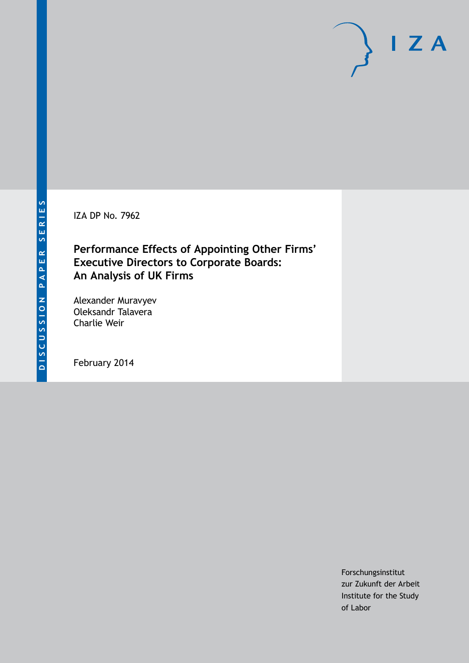IZA DP No. 7962

# **Performance Effects of Appointing Other Firms' Executive Directors to Corporate Boards: An Analysis of UK Firms**

Alexander Muravyev Oleksandr Talavera Charlie Weir

February 2014

Forschungsinstitut zur Zukunft der Arbeit Institute for the Study of Labor

 $I Z A$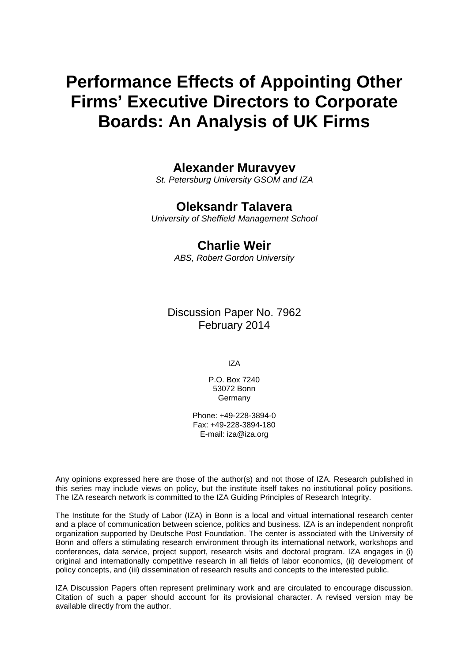# **Performance Effects of Appointing Other Firms' Executive Directors to Corporate Boards: An Analysis of UK Firms**

### **Alexander Muravyev**

*St. Petersburg University GSOM and IZA*

### **Oleksandr Talavera**

*University of Sheffield Management School*

### **Charlie Weir**

*ABS, Robert Gordon University*

Discussion Paper No. 7962 February 2014

IZA

P.O. Box 7240 53072 Bonn Germany

Phone: +49-228-3894-0 Fax: +49-228-3894-180 E-mail: [iza@iza.org](mailto:iza@iza.org)

Any opinions expressed here are those of the author(s) and not those of IZA. Research published in this series may include views on policy, but the institute itself takes no institutional policy positions. The IZA research network is committed to the IZA Guiding Principles of Research Integrity.

The Institute for the Study of Labor (IZA) in Bonn is a local and virtual international research center and a place of communication between science, politics and business. IZA is an independent nonprofit organization supported by Deutsche Post Foundation. The center is associated with the University of Bonn and offers a stimulating research environment through its international network, workshops and conferences, data service, project support, research visits and doctoral program. IZA engages in (i) original and internationally competitive research in all fields of labor economics, (ii) development of policy concepts, and (iii) dissemination of research results and concepts to the interested public.

IZA Discussion Papers often represent preliminary work and are circulated to encourage discussion. Citation of such a paper should account for its provisional character. A revised version may be available directly from the author.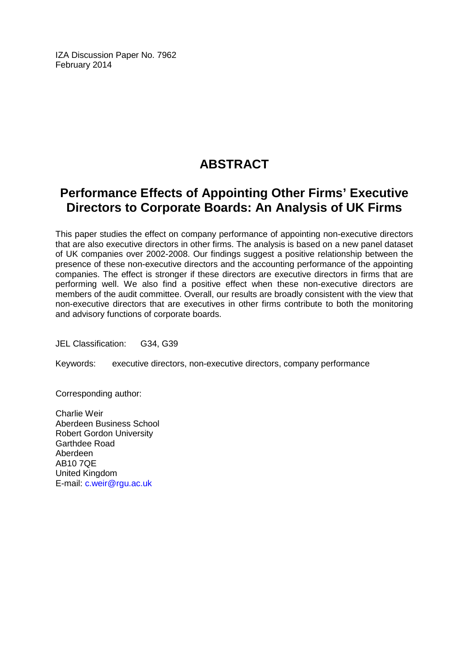IZA Discussion Paper No. 7962 February 2014

# **ABSTRACT**

# **Performance Effects of Appointing Other Firms' Executive Directors to Corporate Boards: An Analysis of UK Firms**

This paper studies the effect on company performance of appointing non-executive directors that are also executive directors in other firms. The analysis is based on a new panel dataset of UK companies over 2002-2008. Our findings suggest a positive relationship between the presence of these non-executive directors and the accounting performance of the appointing companies. The effect is stronger if these directors are executive directors in firms that are performing well. We also find a positive effect when these non-executive directors are members of the audit committee. Overall, our results are broadly consistent with the view that non-executive directors that are executives in other firms contribute to both the monitoring and advisory functions of corporate boards.

JEL Classification: G34, G39

Keywords: executive directors, non-executive directors, company performance

Corresponding author:

Charlie Weir Aberdeen Business School Robert Gordon University Garthdee Road Aberdeen AB10 7QE United Kingdom E-mail: [c.weir@rgu.ac.uk](mailto:c.weir@rgu.ac.uk)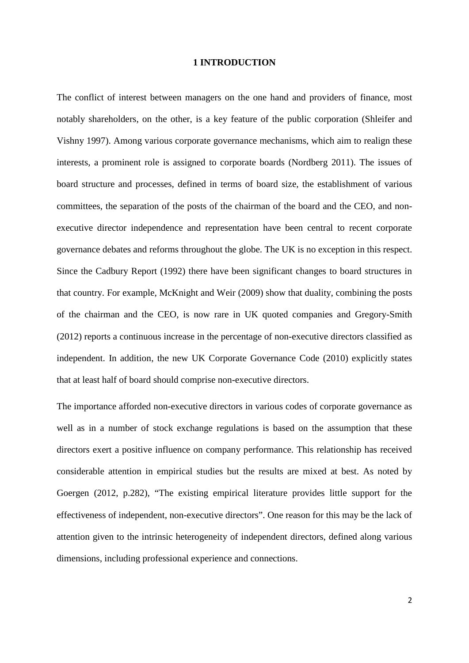#### **1 INTRODUCTION**

The conflict of interest between managers on the one hand and providers of finance, most notably shareholders, on the other, is a key feature of the public corporation (Shleifer and Vishny 1997). Among various corporate governance mechanisms, which aim to realign these interests, a prominent role is assigned to corporate boards (Nordberg 2011). The issues of board structure and processes, defined in terms of board size, the establishment of various committees, the separation of the posts of the chairman of the board and the CEO, and nonexecutive director independence and representation have been central to recent corporate governance debates and reforms throughout the globe. The UK is no exception in this respect. Since the Cadbury Report (1992) there have been significant changes to board structures in that country. For example, McKnight and Weir (2009) show that duality, combining the posts of the chairman and the CEO, is now rare in UK quoted companies and Gregory-Smith (2012) reports a continuous increase in the percentage of non-executive directors classified as independent. In addition, the new UK Corporate Governance Code (2010) explicitly states that at least half of board should comprise non-executive directors.

The importance afforded non-executive directors in various codes of corporate governance as well as in a number of stock exchange regulations is based on the assumption that these directors exert a positive influence on company performance. This relationship has received considerable attention in empirical studies but the results are mixed at best. As noted by Goergen (2012, p.282), "The existing empirical literature provides little support for the effectiveness of independent, non-executive directors". One reason for this may be the lack of attention given to the intrinsic heterogeneity of independent directors, defined along various dimensions, including professional experience and connections.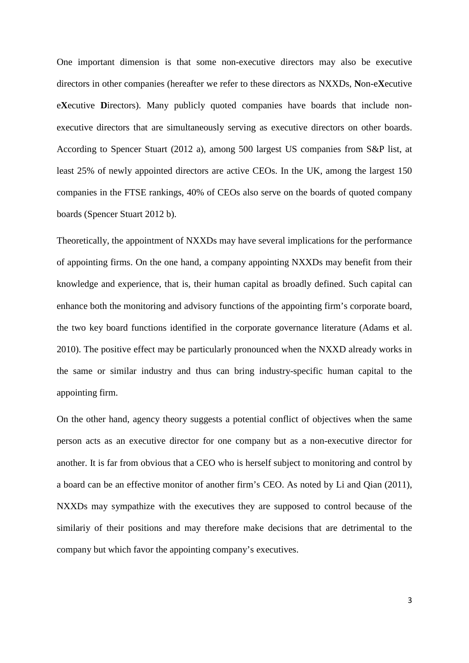One important dimension is that some non-executive directors may also be executive directors in other companies (hereafter we refer to these directors as NXXDs, **N**on-e**X**ecutive e**X**ecutive **D**irectors). Many publicly quoted companies have boards that include nonexecutive directors that are simultaneously serving as executive directors on other boards. According to Spencer Stuart (2012 a), among 500 largest US companies from S&P list, at least 25% of newly appointed directors are active CEOs. In the UK, among the largest 150 companies in the FTSE rankings, 40% of CEOs also serve on the boards of quoted company boards (Spencer Stuart 2012 b).

Theoretically, the appointment of NXXDs may have several implications for the performance of appointing firms. On the one hand, a company appointing NXXDs may benefit from their knowledge and experience, that is, their human capital as broadly defined. Such capital can enhance both the monitoring and advisory functions of the appointing firm's corporate board, the two key board functions identified in the corporate governance literature (Adams et al. 2010). The positive effect may be particularly pronounced when the NXXD already works in the same or similar industry and thus can bring industry-specific human capital to the appointing firm.

On the other hand, agency theory suggests a potential conflict of objectives when the same person acts as an executive director for one company but as a non-executive director for another. It is far from obvious that a CEO who is herself subject to monitoring and control by a board can be an effective monitor of another firm's CEO. As noted by Li and Qian (2011), NXXDs may sympathize with the executives they are supposed to control because of the similariy of their positions and may therefore make decisions that are detrimental to the company but which favor the appointing company's executives.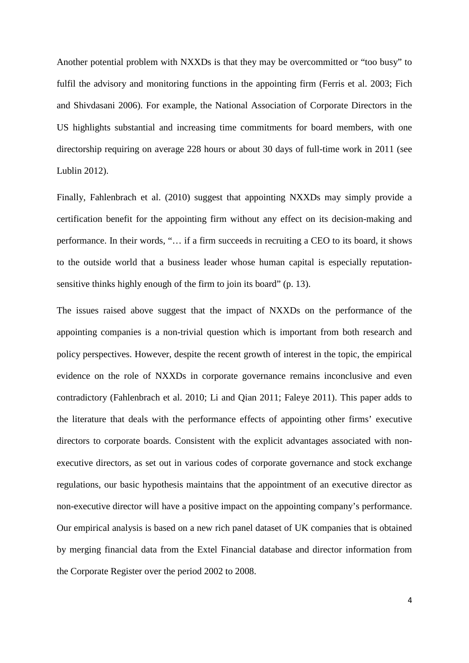Another potential problem with NXXDs is that they may be overcommitted or "too busy" to fulfil the advisory and monitoring functions in the appointing firm (Ferris et al. 2003; Fich and Shivdasani 2006). For example, the National Association of Corporate Directors in the US highlights substantial and increasing time commitments for board members, with one directorship requiring on average 228 hours or about 30 days of full-time work in 2011 (see Lublin 2012).

Finally, Fahlenbrach et al. (2010) suggest that appointing NXXDs may simply provide a certification benefit for the appointing firm without any effect on its decision-making and performance. In their words, "… if a firm succeeds in recruiting a CEO to its board, it shows to the outside world that a business leader whose human capital is especially reputationsensitive thinks highly enough of the firm to join its board" (p. 13).

The issues raised above suggest that the impact of NXXDs on the performance of the appointing companies is a non-trivial question which is important from both research and policy perspectives. However, despite the recent growth of interest in the topic, the empirical evidence on the role of NXXDs in corporate governance remains inconclusive and even contradictory (Fahlenbrach et al. 2010; Li and Qian 2011; Faleye 2011). This paper adds to the literature that deals with the performance effects of appointing other firms' executive directors to corporate boards. Consistent with the explicit advantages associated with nonexecutive directors, as set out in various codes of corporate governance and stock exchange regulations, our basic hypothesis maintains that the appointment of an executive director as non-executive director will have a positive impact on the appointing company's performance. Our empirical analysis is based on a new rich panel dataset of UK companies that is obtained by merging financial data from the Extel Financial database and director information from the Corporate Register over the period 2002 to 2008.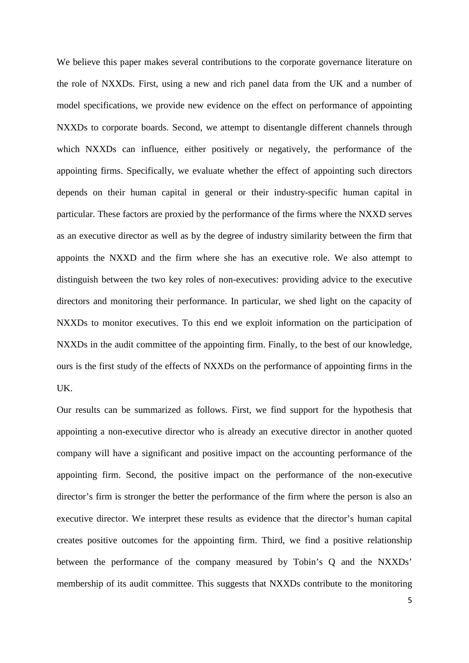We believe this paper makes several contributions to the corporate governance literature on the role of NXXDs. First, using a new and rich panel data from the UK and a number of model specifications, we provide new evidence on the effect on performance of appointing NXXDs to corporate boards. Second, we attempt to disentangle different channels through which NXXDs can influence, either positively or negatively, the performance of the appointing firms. Specifically, we evaluate whether the effect of appointing such directors depends on their human capital in general or their industry-specific human capital in particular. These factors are proxied by the performance of the firms where the NXXD serves as an executive director as well as by the degree of industry similarity between the firm that appoints the NXXD and the firm where she has an executive role. We also attempt to distinguish between the two key roles of non-executives: providing advice to the executive directors and monitoring their performance. In particular, we shed light on the capacity of NXXDs to monitor executives. To this end we exploit information on the participation of NXXDs in the audit committee of the appointing firm. Finally, to the best of our knowledge, ours is the first study of the effects of NXXDs on the performance of appointing firms in the UK.

Our results can be summarized as follows. First, we find support for the hypothesis that appointing a non-executive director who is already an executive director in another quoted company will have a significant and positive impact on the accounting performance of the appointing firm. Second, the positive impact on the performance of the non-executive director's firm is stronger the better the performance of the firm where the person is also an executive director. We interpret these results as evidence that the director's human capital creates positive outcomes for the appointing firm. Third, we find a positive relationship between the performance of the company measured by Tobin's Q and the NXXDs' membership of its audit committee. This suggests that NXXDs contribute to the monitoring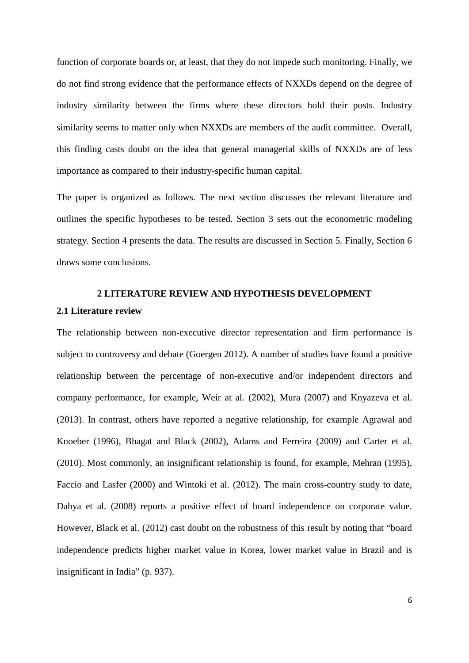function of corporate boards or, at least, that they do not impede such monitoring. Finally, we do not find strong evidence that the performance effects of NXXDs depend on the degree of industry similarity between the firms where these directors hold their posts. Industry similarity seems to matter only when NXXDs are members of the audit committee. Overall, this finding casts doubt on the idea that general managerial skills of NXXDs are of less importance as compared to their industry-specific human capital.

The paper is organized as follows. The next section discusses the relevant literature and outlines the specific hypotheses to be tested. Section 3 sets out the econometric modeling strategy. Section 4 presents the data. The results are discussed in Section 5. Finally, Section 6 draws some conclusions.

## **2 LITERATURE REVIEW AND HYPOTHESIS DEVELOPMENT 2.1 Literature review**

The relationship between non-executive director representation and firm performance is subject to controversy and debate (Goergen 2012). A number of studies have found a positive relationship between the percentage of non-executive and/or independent directors and company performance, for example, Weir at al. (2002), Mura (2007) and Knyazeva et al. (2013). In contrast, others have reported a negative relationship, for example Agrawal and Knoeber (1996), Bhagat and Black (2002), Adams and Ferreira (2009) and Carter et al. (2010). Most commonly, an insignificant relationship is found, for example, Mehran (1995), Faccio and Lasfer (2000) and Wintoki et al. (2012). The main cross-country study to date, Dahya et al. (2008) reports a positive effect of board independence on corporate value. However, Black et al. (2012) cast doubt on the robustness of this result by noting that "board independence predicts higher market value in Korea, lower market value in Brazil and is insignificant in India" (p. 937).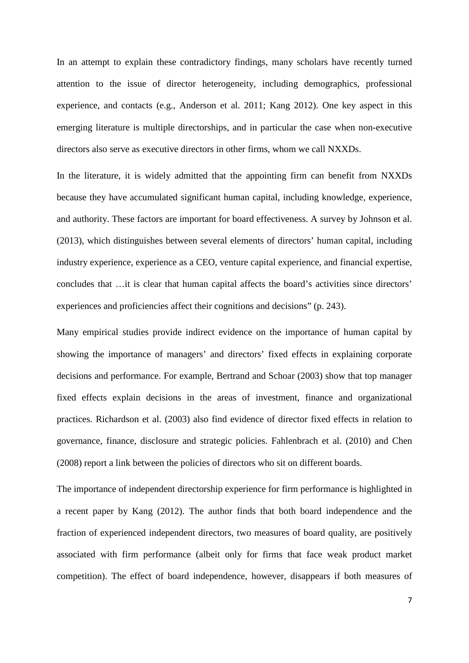In an attempt to explain these contradictory findings, many scholars have recently turned attention to the issue of director heterogeneity, including demographics, professional experience, and contacts (e.g., Anderson et al. 2011; Kang 2012). One key aspect in this emerging literature is multiple directorships, and in particular the case when non-executive directors also serve as executive directors in other firms, whom we call NXXDs.

In the literature, it is widely admitted that the appointing firm can benefit from NXXDs because they have accumulated significant human capital, including knowledge, experience, and authority. These factors are important for board effectiveness. A survey by Johnson et al. (2013), which distinguishes between several elements of directors' human capital, including industry experience, experience as a CEO, venture capital experience, and financial expertise, concludes that …it is clear that human capital affects the board's activities since directors' experiences and proficiencies affect their cognitions and decisions" (p. 243).

Many empirical studies provide indirect evidence on the importance of human capital by showing the importance of managers' and directors' fixed effects in explaining corporate decisions and performance. For example, Bertrand and Schoar (2003) show that top manager fixed effects explain decisions in the areas of investment, finance and organizational practices. Richardson et al. (2003) also find evidence of director fixed effects in relation to governance, finance, disclosure and strategic policies. Fahlenbrach et al. (2010) and Chen (2008) report a link between the policies of directors who sit on different boards.

The importance of independent directorship experience for firm performance is highlighted in a recent paper by Kang (2012). The author finds that both board independence and the fraction of experienced independent directors, two measures of board quality, are positively associated with firm performance (albeit only for firms that face weak product market competition). The effect of board independence, however, disappears if both measures of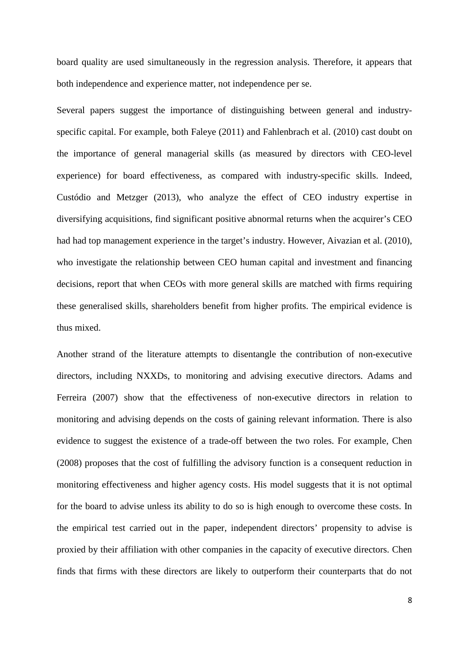board quality are used simultaneously in the regression analysis. Therefore, it appears that both independence and experience matter, not independence per se.

Several papers suggest the importance of distinguishing between general and industryspecific capital. For example, both Faleye (2011) and Fahlenbrach et al. (2010) cast doubt on the importance of general managerial skills (as measured by directors with CEO-level experience) for board effectiveness, as compared with industry-specific skills. Indeed, Custódio and Metzger (2013), who analyze the effect of CEO industry expertise in diversifying acquisitions, find significant positive abnormal returns when the acquirer's CEO had had top management experience in the target's industry. However, Aivazian et al. (2010), who investigate the relationship between CEO human capital and investment and financing decisions, report that when CEOs with more general skills are matched with firms requiring these generalised skills, shareholders benefit from higher profits. The empirical evidence is thus mixed.

Another strand of the literature attempts to disentangle the contribution of non-executive directors, including NXXDs, to monitoring and advising executive directors. Adams and Ferreira (2007) show that the effectiveness of non-executive directors in relation to monitoring and advising depends on the costs of gaining relevant information. There is also evidence to suggest the existence of a trade-off between the two roles. For example, Chen (2008) proposes that the cost of fulfilling the advisory function is a consequent reduction in monitoring effectiveness and higher agency costs. His model suggests that it is not optimal for the board to advise unless its ability to do so is high enough to overcome these costs. In the empirical test carried out in the paper, independent directors' propensity to advise is proxied by their affiliation with other companies in the capacity of executive directors. Chen finds that firms with these directors are likely to outperform their counterparts that do not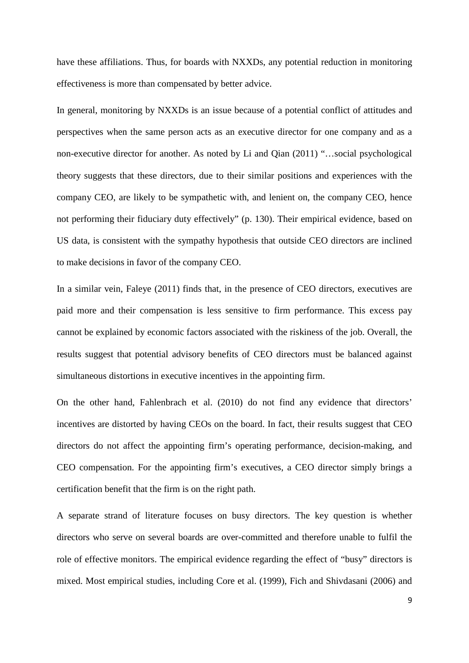have these affiliations. Thus, for boards with NXXDs, any potential reduction in monitoring effectiveness is more than compensated by better advice.

In general, monitoring by NXXDs is an issue because of a potential conflict of attitudes and perspectives when the same person acts as an executive director for one company and as a non-executive director for another. As noted by Li and Qian (2011) "…social psychological theory suggests that these directors, due to their similar positions and experiences with the company CEO, are likely to be sympathetic with, and lenient on, the company CEO, hence not performing their fiduciary duty effectively" (p. 130). Their empirical evidence, based on US data, is consistent with the sympathy hypothesis that outside CEO directors are inclined to make decisions in favor of the company CEO.

In a similar vein, Faleye (2011) finds that, in the presence of CEO directors, executives are paid more and their compensation is less sensitive to firm performance. This excess pay cannot be explained by economic factors associated with the riskiness of the job. Overall, the results suggest that potential advisory benefits of CEO directors must be balanced against simultaneous distortions in executive incentives in the appointing firm.

On the other hand, Fahlenbrach et al. (2010) do not find any evidence that directors' incentives are distorted by having CEOs on the board. In fact, their results suggest that CEO directors do not affect the appointing firm's operating performance, decision-making, and CEO compensation. For the appointing firm's executives, a CEO director simply brings a certification benefit that the firm is on the right path.

A separate strand of literature focuses on busy directors. The key question is whether directors who serve on several boards are over-committed and therefore unable to fulfil the role of effective monitors. The empirical evidence regarding the effect of "busy" directors is mixed. Most empirical studies, including Core et al. (1999), Fich and Shivdasani (2006) and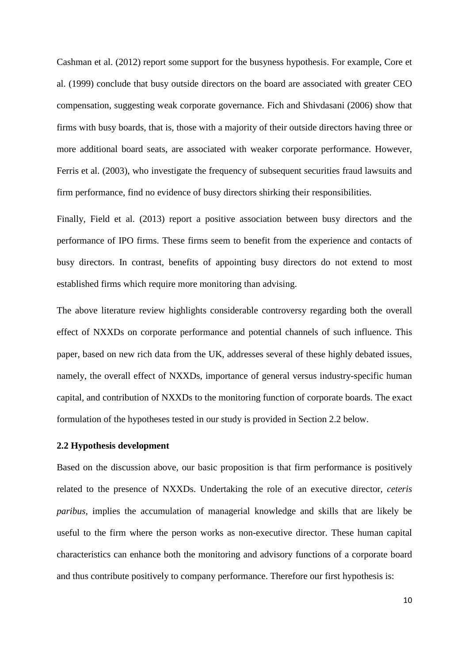Cashman et al. (2012) report some support for the busyness hypothesis. For example, Core et al. (1999) conclude that busy outside directors on the board are associated with greater CEO compensation, suggesting weak corporate governance. Fich and Shivdasani (2006) show that firms with busy boards, that is, those with a majority of their outside directors having three or more additional board seats, are associated with weaker corporate performance. However, Ferris et al. (2003), who investigate the frequency of subsequent securities fraud lawsuits and firm performance, find no evidence of busy directors shirking their responsibilities.

Finally, Field et al. (2013) report a positive association between busy directors and the performance of IPO firms. These firms seem to benefit from the experience and contacts of busy directors. In contrast, benefits of appointing busy directors do not extend to most established firms which require more monitoring than advising.

The above literature review highlights considerable controversy regarding both the overall effect of NXXDs on corporate performance and potential channels of such influence. This paper, based on new rich data from the UK, addresses several of these highly debated issues, namely, the overall effect of NXXDs, importance of general versus industry-specific human capital, and contribution of NXXDs to the monitoring function of corporate boards. The exact formulation of the hypotheses tested in our study is provided in Section 2.2 below.

#### **2.2 Hypothesis development**

Based on the discussion above, our basic proposition is that firm performance is positively related to the presence of NXXDs. Undertaking the role of an executive director, *ceteris paribus*, implies the accumulation of managerial knowledge and skills that are likely be useful to the firm where the person works as non-executive director. These human capital characteristics can enhance both the monitoring and advisory functions of a corporate board and thus contribute positively to company performance. Therefore our first hypothesis is: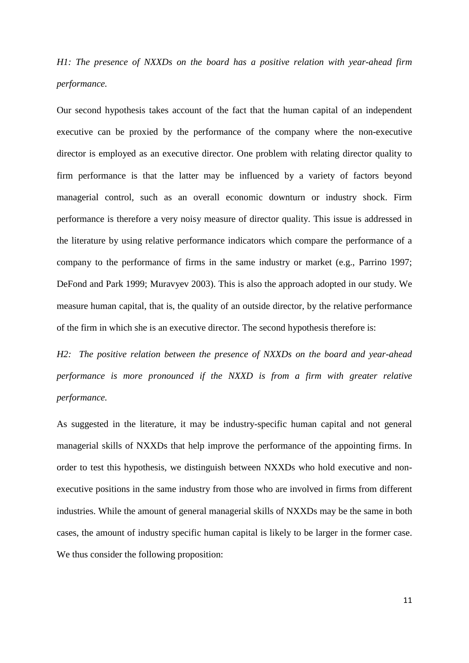*H1: The presence of NXXDs on the board has a positive relation with year-ahead firm performance.*

Our second hypothesis takes account of the fact that the human capital of an independent executive can be proxied by the performance of the company where the non-executive director is employed as an executive director. One problem with relating director quality to firm performance is that the latter may be influenced by a variety of factors beyond managerial control, such as an overall economic downturn or industry shock. Firm performance is therefore a very noisy measure of director quality. This issue is addressed in the literature by using relative performance indicators which compare the performance of a company to the performance of firms in the same industry or market (e.g., Parrino 1997; DeFond and Park 1999; Muravyev 2003). This is also the approach adopted in our study. We measure human capital, that is, the quality of an outside director, by the relative performance of the firm in which she is an executive director. The second hypothesis therefore is:

*H2: The positive relation between the presence of NXXDs on the board and year-ahead performance is more pronounced if the NXXD is from a firm with greater relative performance.*

As suggested in the literature, it may be industry-specific human capital and not general managerial skills of NXXDs that help improve the performance of the appointing firms. In order to test this hypothesis, we distinguish between NXXDs who hold executive and nonexecutive positions in the same industry from those who are involved in firms from different industries. While the amount of general managerial skills of NXXDs may be the same in both cases, the amount of industry specific human capital is likely to be larger in the former case. We thus consider the following proposition: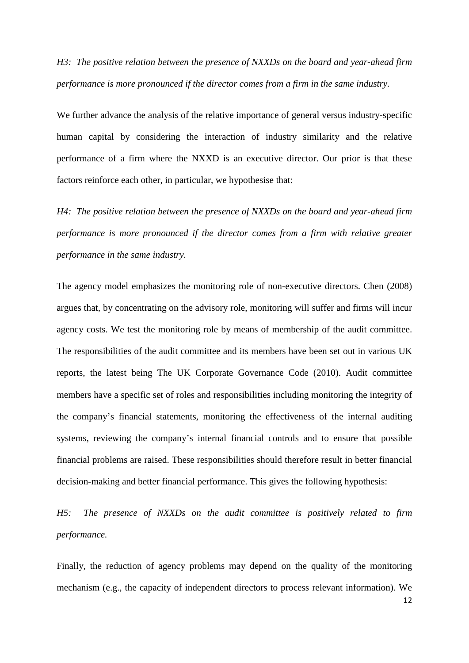*H3: The positive relation between the presence of NXXDs on the board and year-ahead firm performance is more pronounced if the director comes from a firm in the same industry.*

We further advance the analysis of the relative importance of general versus industry-specific human capital by considering the interaction of industry similarity and the relative performance of a firm where the NXXD is an executive director. Our prior is that these factors reinforce each other, in particular, we hypothesise that:

*H4: The positive relation between the presence of NXXDs on the board and year-ahead firm performance is more pronounced if the director comes from a firm with relative greater performance in the same industry.*

The agency model emphasizes the monitoring role of non-executive directors. Chen (2008) argues that, by concentrating on the advisory role, monitoring will suffer and firms will incur agency costs. We test the monitoring role by means of membership of the audit committee. The responsibilities of the audit committee and its members have been set out in various UK reports, the latest being The UK Corporate Governance Code (2010). Audit committee members have a specific set of roles and responsibilities including monitoring the integrity of the company's financial statements, monitoring the effectiveness of the internal auditing systems, reviewing the company's internal financial controls and to ensure that possible financial problems are raised. These responsibilities should therefore result in better financial decision-making and better financial performance. This gives the following hypothesis:

*H5: The presence of NXXDs on the audit committee is positively related to firm performance.*

Finally, the reduction of agency problems may depend on the quality of the monitoring mechanism (e.g., the capacity of independent directors to process relevant information). We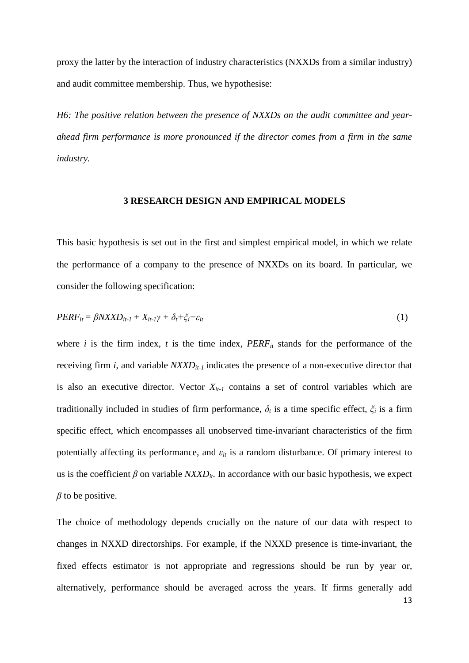proxy the latter by the interaction of industry characteristics (NXXDs from a similar industry) and audit committee membership. Thus, we hypothesise:

*H6: The positive relation between the presence of NXXDs on the audit committee and yearahead firm performance is more pronounced if the director comes from a firm in the same industry.*

#### **3 RESEARCH DESIGN AND EMPIRICAL MODELS**

This basic hypothesis is set out in the first and simplest empirical model, in which we relate the performance of a company to the presence of NXXDs on its board. In particular, we consider the following specification:

$$
PERF_{it} = \beta NXXD_{it-1} + X_{it-1}\gamma + \delta_t + \xi_i + \varepsilon_{it}
$$
\n
$$
\tag{1}
$$

where *i* is the firm index, *t* is the time index,  $PERF_{it}$  stands for the performance of the receiving firm *i*, and variable *NXXD*<sub>it-1</sub> indicates the presence of a non-executive director that is also an executive director. Vector  $X_{it-1}$  contains a set of control variables which are traditionally included in studies of firm performance,  $\delta_t$  is a time specific effect,  $\xi_i$  is a firm specific effect, which encompasses all unobserved time-invariant characteristics of the firm potentially affecting its performance, and  $\varepsilon_{it}$  is a random disturbance. Of primary interest to us is the coefficient  $\beta$  on variable  $NXXD_{it}$ . In accordance with our basic hypothesis, we expect *β* to be positive.

The choice of methodology depends crucially on the nature of our data with respect to changes in NXXD directorships. For example, if the NXXD presence is time-invariant, the fixed effects estimator is not appropriate and regressions should be run by year or, alternatively, performance should be averaged across the years. If firms generally add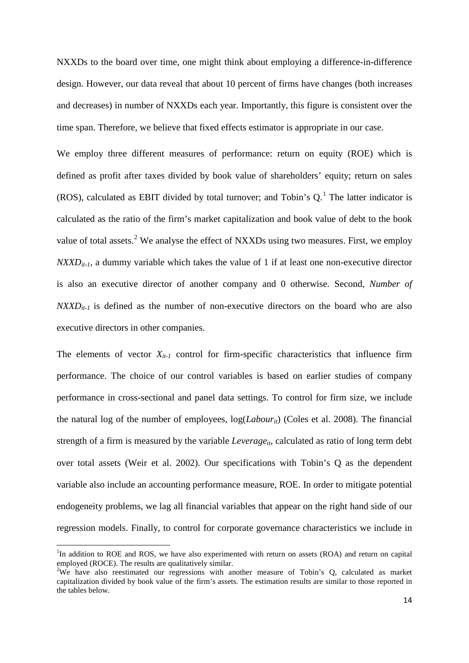NXXDs to the board over time, one might think about employing a difference-in-difference design. However, our data reveal that about 10 percent of firms have changes (both increases and decreases) in number of NXXDs each year. Importantly, this figure is consistent over the time span. Therefore, we believe that fixed effects estimator is appropriate in our case.

We employ three different measures of performance: return on equity (ROE) which is defined as profit after taxes divided by book value of shareholders' equity; return on sales (ROS), calculated as EBIT divided by total turnover; and Tobin's  $Q<sup>1</sup>$ . The latter indicator is calculated as the ratio of the firm's market capitalization and book value of debt to the book value of total assets.<sup>[2](#page-15-0)</sup> We analyse the effect of NXXDs using two measures. First, we employ  $NXXD_{it-1}$ , a dummy variable which takes the value of 1 if at least one non-executive director is also an executive director of another company and 0 otherwise. Second, *Number of*   $NXXD_{it-1}$  is defined as the number of non-executive directors on the board who are also executive directors in other companies.

The elements of vector  $X_{it-1}$  control for firm-specific characteristics that influence firm performance. The choice of our control variables is based on earlier studies of company performance in cross-sectional and panel data settings. To control for firm size, we include the natural log of the number of employees,  $log(Labour_{it})$  (Coles et al. 2008). The financial strength of a firm is measured by the variable *Leverage<sub>it</sub>*, calculated as ratio of long term debt over total assets (Weir et al. 2002). Our specifications with Tobin's Q as the dependent variable also include an accounting performance measure, ROE. In order to mitigate potential endogeneity problems, we lag all financial variables that appear on the right hand side of our regression models. Finally, to control for corporate governance characteristics we include in

 $\frac{1}{1}$ <sup>1</sup>In addition to ROE and ROS, we have also experimented with return on assets (ROA) and return on capital employed (ROCE). The results are qualitatively similar.

<span id="page-15-1"></span><span id="page-15-0"></span><sup>&</sup>lt;sup>2</sup>We have also reestimated our regressions with another measure of Tobin's O, calculated as market capitalization divided by book value of the firm's assets. The estimation results are similar to those reported in the tables below.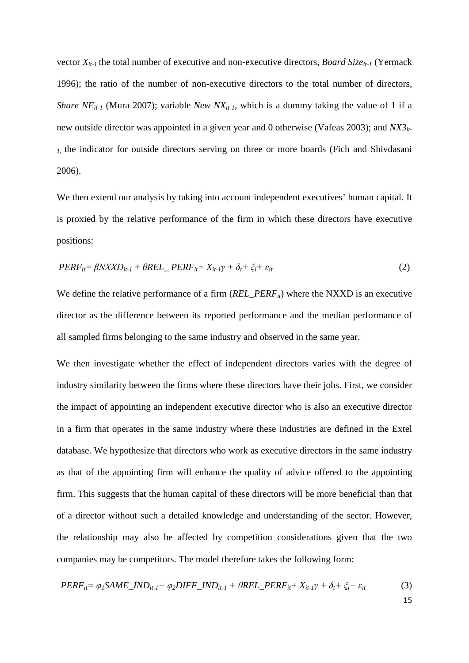vector *Xit-1* the total number of executive and non-executive directors, *Board Sizeit-1* (Yermack 1996); the ratio of the number of non-executive directors to the total number of directors, *Share*  $NE_{it-1}$  (Mura 2007); variable *New NX*<sub>it-1</sub>, which is a dummy taking the value of 1 if a new outside director was appointed in a given year and 0 otherwise (Vafeas 2003); and *NX3it-1,* the indicator for outside directors serving on three or more boards (Fich and Shivdasani 2006).

We then extend our analysis by taking into account independent executives' human capital. It is proxied by the relative performance of the firm in which these directors have executive positions:

$$
PERF_{it} = \beta NXXD_{it-1} + \theta REL \_ PERF_{it} + X_{it-1}\gamma + \delta_t + \zeta_i + \varepsilon_{it}
$$
\n
$$
\tag{2}
$$

We define the relative performance of a firm (*REL\_PERF<sub>it</sub>*) where the NXXD is an executive director as the difference between its reported performance and the median performance of all sampled firms belonging to the same industry and observed in the same year.

We then investigate whether the effect of independent directors varies with the degree of industry similarity between the firms where these directors have their jobs. First, we consider the impact of appointing an independent executive director who is also an executive director in a firm that operates in the same industry where these industries are defined in the Extel database. We hypothesize that directors who work as executive directors in the same industry as that of the appointing firm will enhance the quality of advice offered to the appointing firm. This suggests that the human capital of these directors will be more beneficial than that of a director without such a detailed knowledge and understanding of the sector. However, the relationship may also be affected by competition considerations given that the two companies may be competitors. The model therefore takes the following form:

$$
PERF_{it} = \varphi_1 SAME\_IND_{it-1} + \varphi_2 DIFF\_IND_{it-1} + \theta REL\_PERF_{it} + X_{it-1}\gamma + \delta_t + \xi_i + \varepsilon_{it}
$$
(3)

15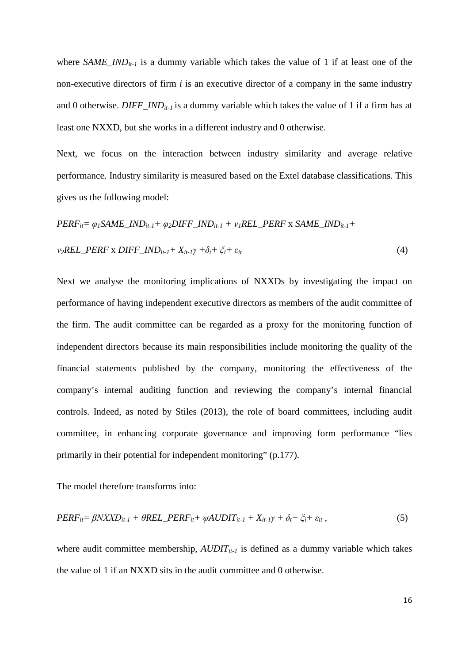where  $SAME\_IND_{it-1}$  is a dummy variable which takes the value of 1 if at least one of the non-executive directors of firm *i* is an executive director of a company in the same industry and 0 otherwise. *DIFF\_INDit-1* is a dummy variable which takes the value of 1 if a firm has at least one NXXD, but she works in a different industry and 0 otherwise.

Next, we focus on the interaction between industry similarity and average relative performance. Industry similarity is measured based on the Extel database classifications. This gives us the following model:

$$
PERF_{it} = \varphi_l SAME\_IND_{it-1} + \varphi_2 DIFF\_IND_{it-1} + \nu_l REL\_PERF \times SAME\_IND_{it-1} + \nu_2 REL\_PERF \times DIFF\_IND_{it-1} + X_{it-1} \varphi + \xi_i + \varepsilon_{it}
$$
\n
$$
(4)
$$

Next we analyse the monitoring implications of NXXDs by investigating the impact on performance of having independent executive directors as members of the audit committee of the firm. The audit committee can be regarded as a proxy for the monitoring function of independent directors because its main responsibilities include monitoring the quality of the financial statements published by the company, monitoring the effectiveness of the company's internal auditing function and reviewing the company's internal financial controls. Indeed, as noted by Stiles (2013), the role of board committees, including audit committee, in enhancing corporate governance and improving form performance "lies primarily in their potential for independent monitoring" (p.177).

The model therefore transforms into:

$$
PERF_{it} = \beta NXXD_{it-1} + \theta REL\_PERF_{it} + \psi AUDIT_{it-1} + X_{it-1}\gamma + \delta_t + \xi_i + \varepsilon_{it},
$$
\n
$$
\tag{5}
$$

where audit committee membership,  $AUDIT_{it-1}$  is defined as a dummy variable which takes the value of 1 if an NXXD sits in the audit committee and 0 otherwise.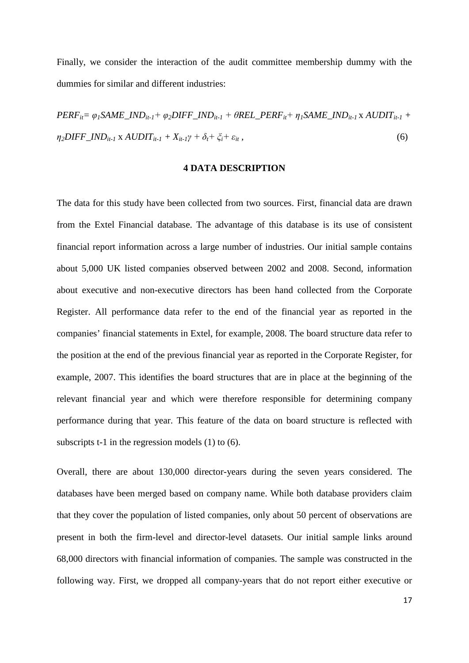Finally, we consider the interaction of the audit committee membership dummy with the dummies for similar and different industries:

 $PERF_{it} = \varphi_l$ SAME\_IND<sub>it-1</sub><sup>+</sup>  $\varphi_2$ DIFF\_IND<sub>it-1</sub> +  $\theta$ REL\_PERF<sub>it</sub>+  $\eta_l$ SAME\_IND<sub>it-1</sub> x  $AUDIT_{it-1}$  +  $\eta_2$ *DIFF\_IND<sub>it-1</sub>* x *AUDIT<sub>it-1</sub>* +  $X_{it-1} \gamma + \delta_t + \xi_i + \varepsilon_{it}$ , (6)

#### **4 DATA DESCRIPTION**

The data for this study have been collected from two sources. First, financial data are drawn from the Extel Financial database. The advantage of this database is its use of consistent financial report information across a large number of industries. Our initial sample contains about 5,000 UK listed companies observed between 2002 and 2008. Second, information about executive and non-executive directors has been hand collected from the Corporate Register. All performance data refer to the end of the financial year as reported in the companies' financial statements in Extel, for example, 2008. The board structure data refer to the position at the end of the previous financial year as reported in the Corporate Register, for example, 2007. This identifies the board structures that are in place at the beginning of the relevant financial year and which were therefore responsible for determining company performance during that year. This feature of the data on board structure is reflected with subscripts t-1 in the regression models (1) to (6).

Overall, there are about 130,000 director-years during the seven years considered. The databases have been merged based on company name. While both database providers claim that they cover the population of listed companies, only about 50 percent of observations are present in both the firm-level and director-level datasets. Our initial sample links around 68,000 directors with financial information of companies. The sample was constructed in the following way. First, we dropped all company-years that do not report either executive or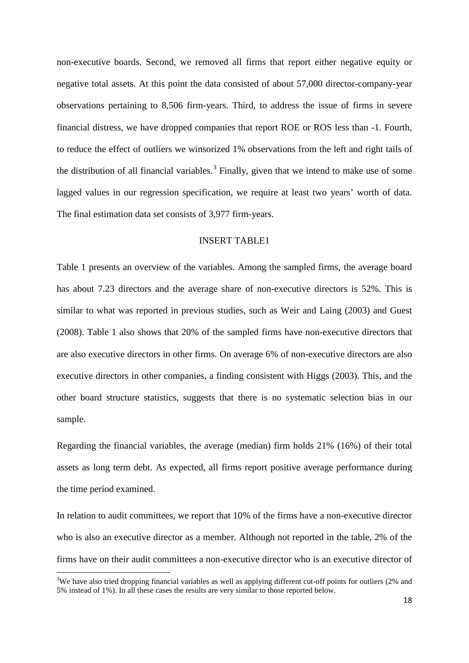non-executive boards. Second, we removed all firms that report either negative equity or negative total assets. At this point the data consisted of about 57,000 director-company-year observations pertaining to 8,506 firm-years. Third, to address the issue of firms in severe financial distress, we have dropped companies that report ROE or ROS less than -1. Fourth, to reduce the effect of outliers we winsorized 1% observations from the left and right tails of the distribution of all financial variables.<sup>[3](#page-15-1)</sup> Finally, given that we intend to make use of some lagged values in our regression specification, we require at least two years' worth of data. The final estimation data set consists of 3,977 firm-years.

#### INSERT TABLE1

Table 1 presents an overview of the variables. Among the sampled firms, the average board has about 7.23 directors and the average share of non-executive directors is 52%. This is similar to what was reported in previous studies, such as Weir and Laing (2003) and Guest (2008). Table 1 also shows that 20% of the sampled firms have non-executive directors that are also executive directors in other firms. On average 6% of non-executive directors are also executive directors in other companies, a finding consistent with Higgs (2003). This, and the other board structure statistics, suggests that there is no systematic selection bias in our sample.

Regarding the financial variables, the average (median) firm holds 21% (16%) of their total assets as long term debt. As expected, all firms report positive average performance during the time period examined.

In relation to audit committees, we report that 10% of the firms have a non-executive director who is also an executive director as a member. Although not reported in the table, 2% of the firms have on their audit committees a non-executive director who is an executive director of

<span id="page-19-0"></span> $\frac{1}{3}$  $3$ We have also tried dropping financial variables as well as applying different cut-off points for outliers (2% and 5% instead of 1%). In all these cases the results are very similar to those reported below.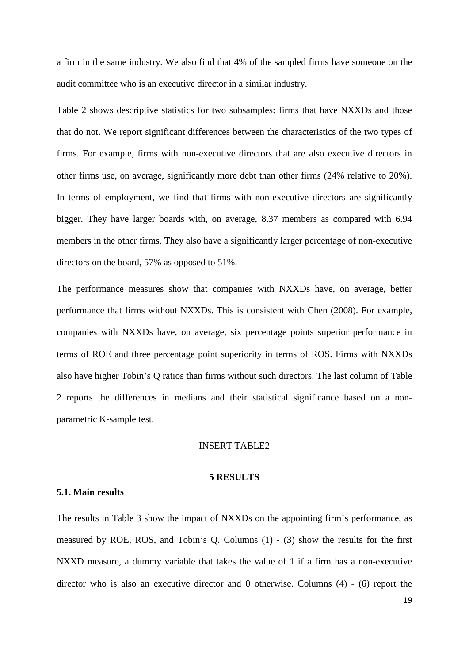a firm in the same industry. We also find that 4% of the sampled firms have someone on the audit committee who is an executive director in a similar industry.

Table 2 shows descriptive statistics for two subsamples: firms that have NXXDs and those that do not. We report significant differences between the characteristics of the two types of firms. For example, firms with non-executive directors that are also executive directors in other firms use, on average, significantly more debt than other firms (24% relative to 20%). In terms of employment, we find that firms with non-executive directors are significantly bigger. They have larger boards with, on average, 8.37 members as compared with 6.94 members in the other firms. They also have a significantly larger percentage of non-executive directors on the board, 57% as opposed to 51%.

The performance measures show that companies with NXXDs have, on average, better performance that firms without NXXDs. This is consistent with Chen (2008). For example, companies with NXXDs have, on average, six percentage points superior performance in terms of ROE and three percentage point superiority in terms of ROS. Firms with NXXDs also have higher Tobin's Q ratios than firms without such directors. The last column of Table 2 reports the differences in medians and their statistical significance based on a nonparametric K-sample test.

#### INSERT TABLE2

#### **5 RESULTS**

#### **5.1. Main results**

The results in Table 3 show the impact of NXXDs on the appointing firm's performance, as measured by ROE, ROS, and Tobin's Q. Columns (1) - (3) show the results for the first NXXD measure, a dummy variable that takes the value of 1 if a firm has a non-executive director who is also an executive director and 0 otherwise. Columns (4) - (6) report the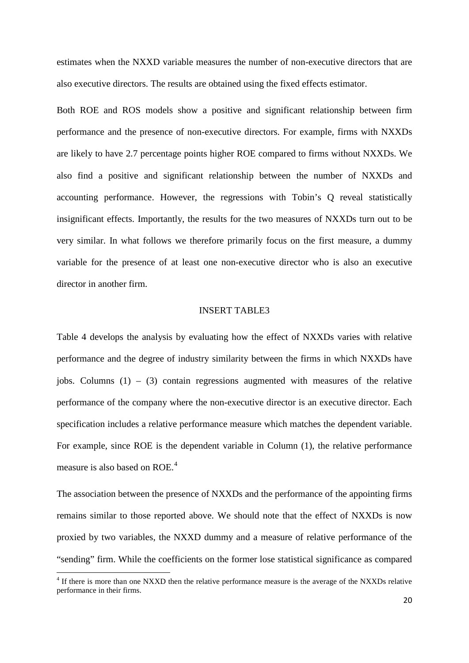estimates when the NXXD variable measures the number of non-executive directors that are also executive directors. The results are obtained using the fixed effects estimator.

Both ROE and ROS models show a positive and significant relationship between firm performance and the presence of non-executive directors. For example, firms with NXXDs are likely to have 2.7 percentage points higher ROE compared to firms without NXXDs. We also find a positive and significant relationship between the number of NXXDs and accounting performance. However, the regressions with Tobin's Q reveal statistically insignificant effects. Importantly, the results for the two measures of NXXDs turn out to be very similar. In what follows we therefore primarily focus on the first measure, a dummy variable for the presence of at least one non-executive director who is also an executive director in another firm.

#### INSERT TABLE3

Table 4 develops the analysis by evaluating how the effect of NXXDs varies with relative performance and the degree of industry similarity between the firms in which NXXDs have jobs. Columns  $(1) - (3)$  contain regressions augmented with measures of the relative performance of the company where the non-executive director is an executive director. Each specification includes a relative performance measure which matches the dependent variable. For example, since ROE is the dependent variable in Column (1), the relative performance measure is also based on ROE.<sup>[4](#page-19-0)</sup>

The association between the presence of NXXDs and the performance of the appointing firms remains similar to those reported above. We should note that the effect of NXXDs is now proxied by two variables, the NXXD dummy and a measure of relative performance of the "sending" firm. While the coefficients on the former lose statistical significance as compared

<span id="page-21-0"></span><sup>&</sup>lt;sup>4</sup> If there is more than one NXXD then the relative performance measure is the average of the NXXDs relative performance in their firms.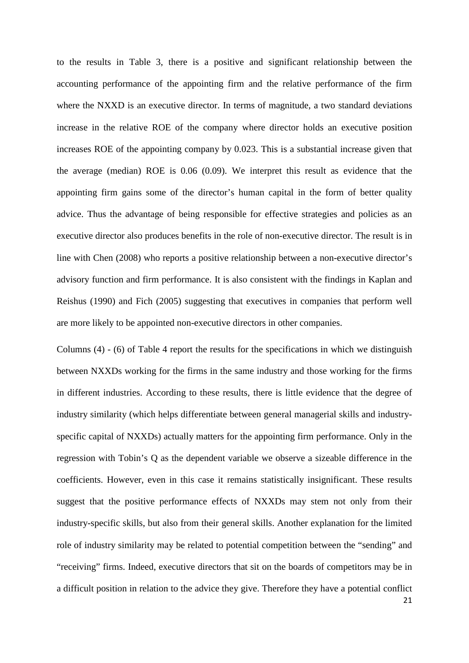to the results in Table 3, there is a positive and significant relationship between the accounting performance of the appointing firm and the relative performance of the firm where the NXXD is an executive director. In terms of magnitude, a two standard deviations increase in the relative ROE of the company where director holds an executive position increases ROE of the appointing company by 0.023. This is a substantial increase given that the average (median) ROE is 0.06 (0.09). We interpret this result as evidence that the appointing firm gains some of the director's human capital in the form of better quality advice. Thus the advantage of being responsible for effective strategies and policies as an executive director also produces benefits in the role of non-executive director. The result is in line with Chen (2008) who reports a positive relationship between a non-executive director's advisory function and firm performance. It is also consistent with the findings in Kaplan and Reishus (1990) and Fich (2005) suggesting that executives in companies that perform well are more likely to be appointed non-executive directors in other companies.

21 Columns (4) - (6) of Table 4 report the results for the specifications in which we distinguish between NXXDs working for the firms in the same industry and those working for the firms in different industries. According to these results, there is little evidence that the degree of industry similarity (which helps differentiate between general managerial skills and industryspecific capital of NXXDs) actually matters for the appointing firm performance. Only in the regression with Tobin's Q as the dependent variable we observe a sizeable difference in the coefficients. However, even in this case it remains statistically insignificant. These results suggest that the positive performance effects of NXXDs may stem not only from their industry-specific skills, but also from their general skills. Another explanation for the limited role of industry similarity may be related to potential competition between the "sending" and "receiving" firms. Indeed, executive directors that sit on the boards of competitors may be in a difficult position in relation to the advice they give. Therefore they have a potential conflict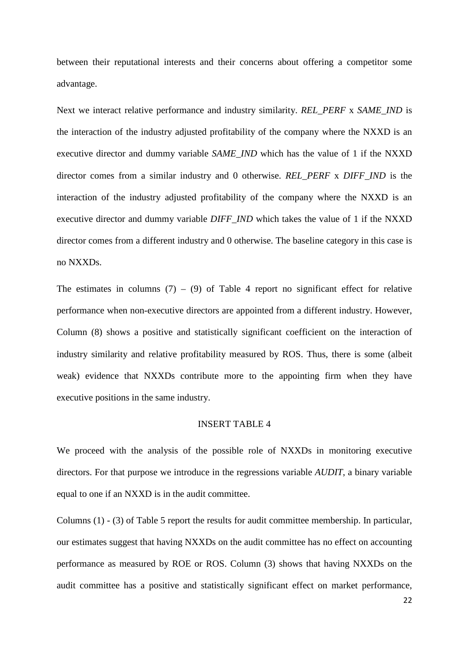between their reputational interests and their concerns about offering a competitor some advantage.

Next we interact relative performance and industry similarity. *REL\_PERF* x *SAME\_IND* is the interaction of the industry adjusted profitability of the company where the NXXD is an executive director and dummy variable *SAME\_IND* which has the value of 1 if the NXXD director comes from a similar industry and 0 otherwise. *REL\_PERF* x *DIFF\_IND* is the interaction of the industry adjusted profitability of the company where the NXXD is an executive director and dummy variable *DIFF\_IND* which takes the value of 1 if the NXXD director comes from a different industry and 0 otherwise. The baseline category in this case is no NXXDs.

The estimates in columns  $(7) - (9)$  of Table 4 report no significant effect for relative performance when non-executive directors are appointed from a different industry. However, Column (8) shows a positive and statistically significant coefficient on the interaction of industry similarity and relative profitability measured by ROS. Thus, there is some (albeit weak) evidence that NXXDs contribute more to the appointing firm when they have executive positions in the same industry.

#### INSERT TABLE 4

We proceed with the analysis of the possible role of NXXDs in monitoring executive directors. For that purpose we introduce in the regressions variable *AUDIT*, a binary variable equal to one if an NXXD is in the audit committee.

Columns (1) - (3) of Table 5 report the results for audit committee membership. In particular, our estimates suggest that having NXXDs on the audit committee has no effect on accounting performance as measured by ROE or ROS. Column (3) shows that having NXXDs on the audit committee has a positive and statistically significant effect on market performance,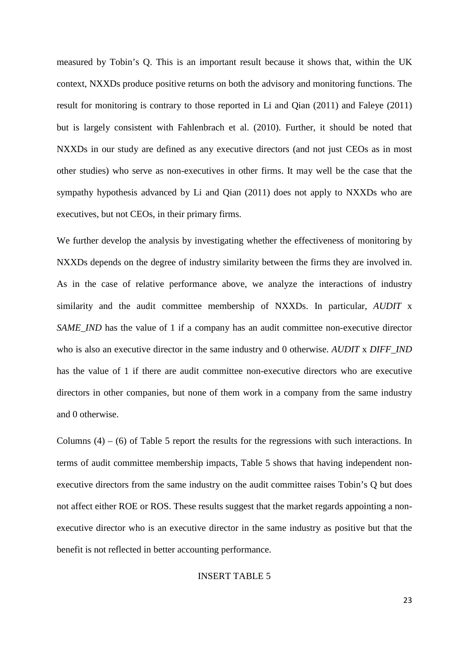measured by Tobin's Q. This is an important result because it shows that, within the UK context, NXXDs produce positive returns on both the advisory and monitoring functions. The result for monitoring is contrary to those reported in Li and Qian (2011) and Faleye (2011) but is largely consistent with Fahlenbrach et al. (2010). Further, it should be noted that NXXDs in our study are defined as any executive directors (and not just CEOs as in most other studies) who serve as non-executives in other firms. It may well be the case that the sympathy hypothesis advanced by Li and Qian (2011) does not apply to NXXDs who are executives, but not CEOs, in their primary firms.

We further develop the analysis by investigating whether the effectiveness of monitoring by NXXDs depends on the degree of industry similarity between the firms they are involved in. As in the case of relative performance above, we analyze the interactions of industry similarity and the audit committee membership of NXXDs. In particular, *AUDIT* x *SAME\_IND* has the value of 1 if a company has an audit committee non-executive director who is also an executive director in the same industry and 0 otherwise. *AUDIT* x *DIFF\_IND* has the value of 1 if there are audit committee non-executive directors who are executive directors in other companies, but none of them work in a company from the same industry and 0 otherwise.

Columns  $(4) - (6)$  of Table 5 report the results for the regressions with such interactions. In terms of audit committee membership impacts, Table 5 shows that having independent nonexecutive directors from the same industry on the audit committee raises Tobin's Q but does not affect either ROE or ROS. These results suggest that the market regards appointing a nonexecutive director who is an executive director in the same industry as positive but that the benefit is not reflected in better accounting performance.

#### INSERT TABLE 5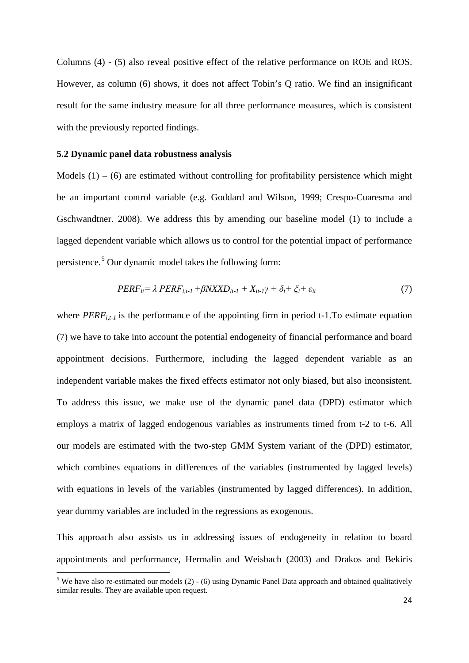Columns (4) - (5) also reveal positive effect of the relative performance on ROE and ROS. However, as column (6) shows, it does not affect Tobin's Q ratio. We find an insignificant result for the same industry measure for all three performance measures, which is consistent with the previously reported findings.

#### **5.2 Dynamic panel data robustness analysis**

Models  $(1) - (6)$  are estimated without controlling for profitability persistence which might be an important control variable (e.g. Goddard and Wilson, 1999; Crespo-Cuaresma and Gschwandtner. 2008). We address this by amending our baseline model (1) to include a lagged dependent variable which allows us to control for the potential impact of performance persistence.[5](#page-21-0) Our dynamic model takes the following form:

$$
PERF_{it} = \lambda \ PERF_{i,t-1} + \beta NXXD_{it-1} + X_{it-1}\gamma + \delta_t + \xi_i + \varepsilon_{it}
$$
\n
$$
\tag{7}
$$

where  $PERF_{i,t}$  is the performance of the appointing firm in period t-1. To estimate equation (7) we have to take into account the potential endogeneity of financial performance and board appointment decisions. Furthermore, including the lagged dependent variable as an independent variable makes the fixed effects estimator not only biased, but also inconsistent. To address this issue, we make use of the dynamic panel data (DPD) estimator which employs a matrix of lagged endogenous variables as instruments timed from t-2 to t-6. All our models are estimated with the two-step GMM System variant of the (DPD) estimator, which combines equations in differences of the variables (instrumented by lagged levels) with equations in levels of the variables (instrumented by lagged differences). In addition, year dummy variables are included in the regressions as exogenous.

This approach also assists us in addressing issues of endogeneity in relation to board appointments and performance, Hermalin and Weisbach (2003) and Drakos and Bekiris

<sup>&</sup>lt;sup>5</sup> We have also re-estimated our models (2) - (6) using Dynamic Panel Data approach and obtained qualitatively similar results. They are available upon request.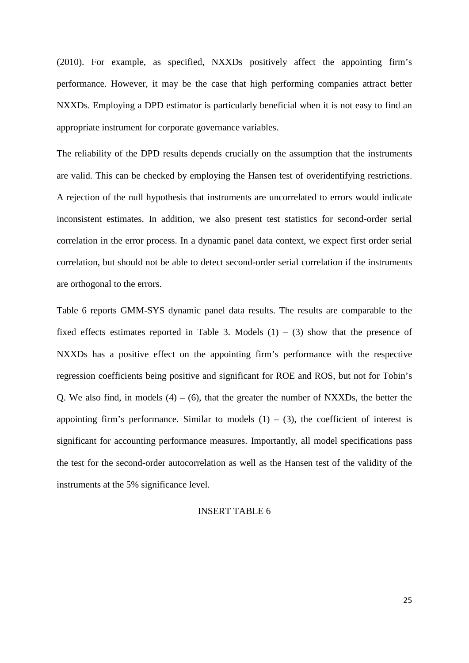(2010). For example, as specified, NXXDs positively affect the appointing firm's performance. However, it may be the case that high performing companies attract better NXXDs. Employing a DPD estimator is particularly beneficial when it is not easy to find an appropriate instrument for corporate governance variables.

The reliability of the DPD results depends crucially on the assumption that the instruments are valid. This can be checked by employing the Hansen test of overidentifying restrictions. A rejection of the null hypothesis that instruments are uncorrelated to errors would indicate inconsistent estimates. In addition, we also present test statistics for second-order serial correlation in the error process. In a dynamic panel data context, we expect first order serial correlation, but should not be able to detect second-order serial correlation if the instruments are orthogonal to the errors.

Table 6 reports GMM-SYS dynamic panel data results. The results are comparable to the fixed effects estimates reported in Table 3. Models  $(1) - (3)$  show that the presence of NXXDs has a positive effect on the appointing firm's performance with the respective regression coefficients being positive and significant for ROE and ROS, but not for Tobin's Q. We also find, in models  $(4) - (6)$ , that the greater the number of NXXDs, the better the appointing firm's performance. Similar to models  $(1) - (3)$ , the coefficient of interest is significant for accounting performance measures. Importantly, all model specifications pass the test for the second-order autocorrelation as well as the Hansen test of the validity of the instruments at the 5% significance level.

#### INSERT TABLE 6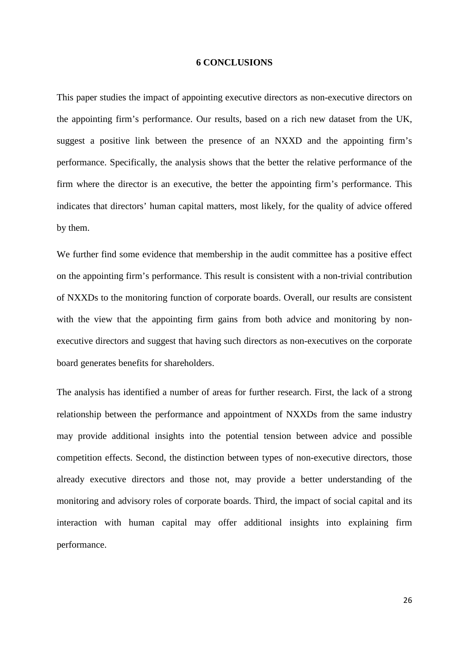#### **6 CONCLUSIONS**

This paper studies the impact of appointing executive directors as non-executive directors on the appointing firm's performance. Our results, based on a rich new dataset from the UK, suggest a positive link between the presence of an NXXD and the appointing firm's performance. Specifically, the analysis shows that the better the relative performance of the firm where the director is an executive, the better the appointing firm's performance. This indicates that directors' human capital matters, most likely, for the quality of advice offered by them.

We further find some evidence that membership in the audit committee has a positive effect on the appointing firm's performance. This result is consistent with a non-trivial contribution of NXXDs to the monitoring function of corporate boards. Overall, our results are consistent with the view that the appointing firm gains from both advice and monitoring by nonexecutive directors and suggest that having such directors as non-executives on the corporate board generates benefits for shareholders.

The analysis has identified a number of areas for further research. First, the lack of a strong relationship between the performance and appointment of NXXDs from the same industry may provide additional insights into the potential tension between advice and possible competition effects. Second, the distinction between types of non-executive directors, those already executive directors and those not, may provide a better understanding of the monitoring and advisory roles of corporate boards. Third, the impact of social capital and its interaction with human capital may offer additional insights into explaining firm performance.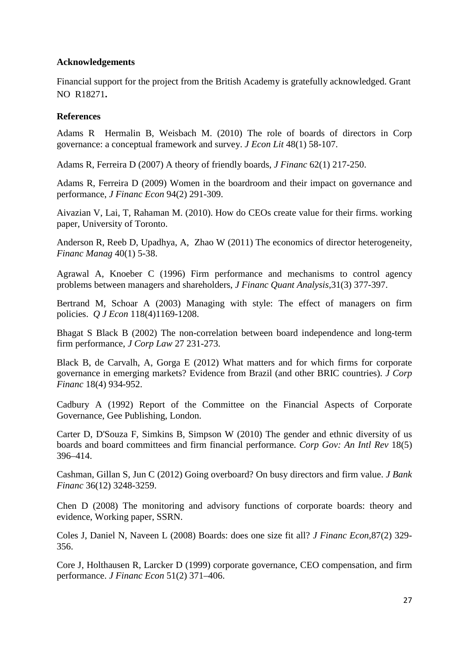#### **Acknowledgements**

Financial support for the project from the British Academy is gratefully acknowledged. Grant NO R18271**.**

#### **References**

Adams R Hermalin B, Weisbach M. (2010) The role of boards of directors in Corp governance: a conceptual framework and survey. *J Econ Lit* 48(1) 58-107.

Adams R, Ferreira D (2007) A theory of friendly boards, *J Financ* 62(1) 217-250.

Adams R, Ferreira D (2009) Women in the boardroom and their impact on governance and performance, *J Financ Econ* 94(2) 291-309.

Aivazian V, Lai, T, Rahaman M. (2010). How do CEOs create value for their firms. working paper, University of Toronto.

Anderson R, Reeb D, Upadhya, A, Zhao W (2011) The economics of director heterogeneity, *Financ Manag* 40(1) 5-38.

Agrawal A, Knoeber C (1996) Firm performance and mechanisms to control agency problems between managers and shareholders, *J Financ Quant Analysis*,31(3) 377-397.

Bertrand M, Schoar A (2003) Managing with style: The effect of managers on firm policies. *Q J Econ* 118(4)1169-1208.

Bhagat S Black B (2002) The non-correlation between board independence and long-term firm performance, *J Corp Law* 27 231-273.

Black B, de Carvalh, A, Gorga E (2012) What matters and for which firms for corporate governance in emerging markets? Evidence from Brazil (and other BRIC countries). *J Corp Financ* 18(4) 934-952.

Cadbury A (1992) Report of the Committee on the Financial Aspects of Corporate Governance, Gee Publishing, London.

Carter D, D'Souza F, Simkins B, Simpson W (2010) The gender and ethnic diversity of us boards and board committees and firm financial performance. *Corp Gov: An Intl Rev* 18(5) 396–414.

Cashman, Gillan S, Jun C (2012) Going overboard? On busy directors and firm value. *J Bank Financ* 36(12) 3248-3259.

Chen D (2008) The monitoring and advisory functions of corporate boards: theory and evidence, Working paper, SSRN.

Coles J, Daniel N, Naveen L (2008) Boards: does one size fit all? *J Financ Econ*,87(2) 329- 356.

Core J, Holthausen R, Larcker D (1999) corporate governance, CEO compensation, and firm performance. *J Financ Econ* 51(2) 371–406.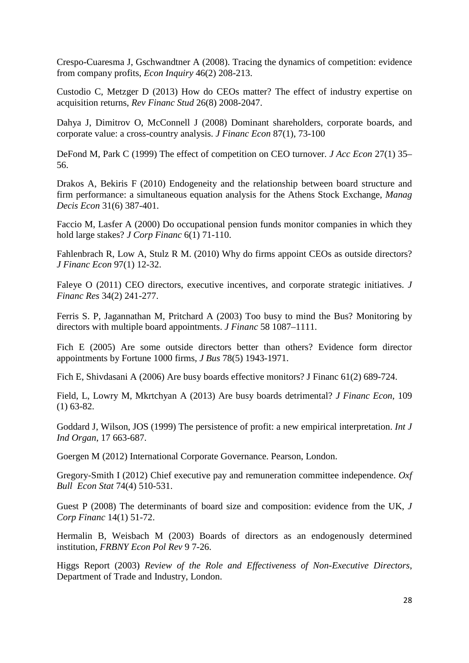Crespo-Cuaresma J, Gschwandtner A (2008). Tracing the dynamics of competition: evidence from company profits, *Econ Inquiry* 46(2) 208-213.

Custodio C, Metzger D (2013) How do CEOs matter? The effect of industry expertise on acquisition returns, *Rev Financ Stud* 26(8) 2008-2047.

Dahya J, Dimitrov O, McConnell J (2008) Dominant shareholders, corporate boards, and corporate value: a cross-country analysis. *J Financ Econ* 87(1), 73-100

DeFond M, Park C (1999) The effect of competition on CEO turnover. *J Acc Econ* 27(1) 35– 56.

Drakos A, Bekiris F (2010) Endogeneity and the relationship between board structure and firm performance: a simultaneous equation analysis for the Athens Stock Exchange, *Manag Decis Econ* 31(6) 387-401.

Faccio M, Lasfer A (2000) Do occupational pension funds monitor companies in which they hold large stakes? *J Corp Financ* 6(1) 71-110.

Fahlenbrach R, Low A, Stulz R M. (2010) Why do firms appoint CEOs as outside directors? *J Financ Econ* 97(1) 12-32.

Faleye O (2011) CEO directors, executive incentives, and corporate strategic initiatives. *J Financ Res* 34(2) 241-277.

Ferris S. P, Jagannathan M, Pritchard A (2003) Too busy to mind the Bus? Monitoring by directors with multiple board appointments. *J Financ* 58 1087–1111.

Fich E (2005) Are some outside directors better than others? Evidence form director appointments by Fortune 1000 firms, *J Bus* 78(5) 1943-1971.

Fich E, Shivdasani A (2006) Are busy boards effective monitors? J Financ 61(2) 689-724.

Field, L, Lowry M, Mkrtchyan A (2013) Are busy boards detrimental? *J Financ Econ*, 109 (1) 63-82.

Goddard J, Wilson, JOS (1999) The persistence of profit: a new empirical interpretation. *Int J Ind Organ*, 17 663-687.

Goergen M (2012) International Corporate Governance. Pearson, London.

Gregory-Smith I (2012) Chief executive pay and remuneration committee independence. *Oxf Bull Econ Stat* 74(4) 510-531.

Guest P (2008) The determinants of board size and composition: evidence from the UK, *J Corp Financ* 14(1) 51-72.

Hermalin B, Weisbach M (2003) Boards of directors as an endogenously determined institution, *FRBNY Econ Pol Rev* 9 7-26.

Higgs Report (2003) *Review of the Role and Effectiveness of Non-Executive Directors*, Department of Trade and Industry, London.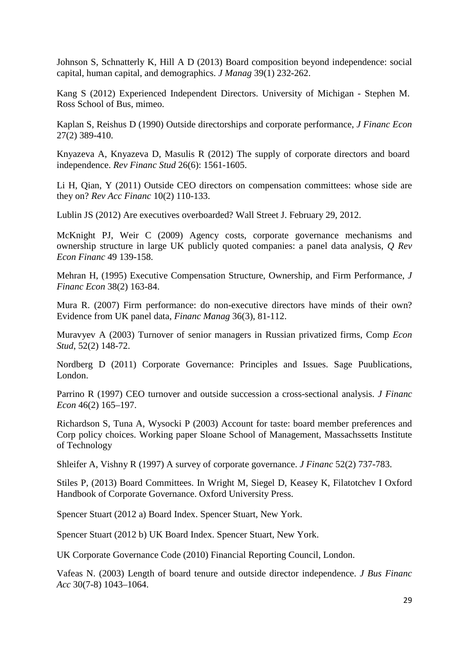Johnson S, Schnatterly K, Hill A D (2013) Board composition beyond independence: social capital, human capital, and demographics. *J Manag* 39(1) 232-262.

Kang S (2012) Experienced Independent Directors. University of Michigan - Stephen M. Ross School of Bus, mimeo.

Kaplan S, Reishus D (1990) Outside directorships and corporate performance, *J Financ Econ* 27(2) 389-410.

Knyazeva A, Knyazeva D, Masulis R (2012) The supply of corporate directors and board independence. *Rev Financ Stud* 26(6): 1561-1605.

Li H, Qian, Y (2011) Outside CEO directors on compensation committees: whose side are they on? *Rev Acc Financ* 10(2) 110-133.

Lublin JS (2012) Are executives overboarded? Wall Street J. February 29, 2012.

McKnight PJ, Weir C (2009) Agency costs, corporate governance mechanisms and ownership structure in large UK publicly quoted companies: a panel data analysis, *Q Rev Econ Financ* 49 139-158.

Mehran H, (1995) Executive Compensation Structure, Ownership, and Firm Performance, *J Financ Econ* 38(2) 163-84.

Mura R. (2007) Firm performance: do non-executive directors have minds of their own? Evidence from UK panel data, *Financ Manag* 36(3), 81-112.

Muravyev A (2003) Turnover of senior managers in Russian privatized firms, Comp *Econ Stud*, 52(2) 148-72.

Nordberg D (2011) Corporate Governance: Principles and Issues. Sage Puublications, London.

Parrino R (1997) CEO turnover and outside succession a cross-sectional analysis. *J Financ Econ* 46(2) 165–197.

Richardson S, Tuna A, Wysocki P (2003) Account for taste: board member preferences and Corp policy choices. Working paper Sloane School of Management, Massachssetts Institute of Technology

Shleifer A, Vishny R (1997) A survey of corporate governance. *J Financ* 52(2) 737-783.

Stiles P, (2013) Board Committees. In Wright M, Siegel D, Keasey K, Filatotchev I Oxford Handbook of Corporate Governance. Oxford University Press.

Spencer Stuart (2012 a) Board Index. Spencer Stuart, New York.

Spencer Stuart (2012 b) UK Board Index. Spencer Stuart, New York.

UK Corporate Governance Code (2010) Financial Reporting Council, London.

Vafeas N. (2003) Length of board tenure and outside director independence. *J Bus Financ Acc* 30(7-8) 1043–1064.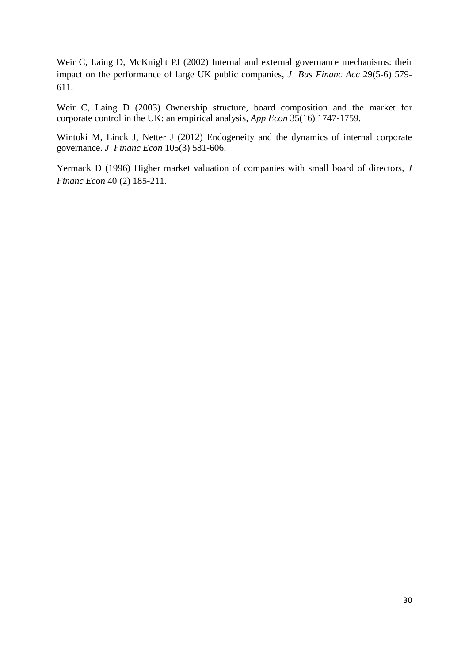Weir C, Laing D, McKnight PJ (2002) Internal and external governance mechanisms: their impact on the performance of large UK public companies, *J Bus Financ Acc* 29(5-6) 579- 611.

Weir C, Laing D (2003) Ownership structure, board composition and the market for corporate control in the UK: an empirical analysis, *App Econ* 35(16) 1747-1759.

Wintoki M, Linck J, Netter J (2012) Endogeneity and the dynamics of internal corporate governance. *J Financ Econ* 105(3) 581-606.

Yermack D (1996) Higher market valuation of companies with small board of directors, *J Financ Econ* 40 (2) 185-211.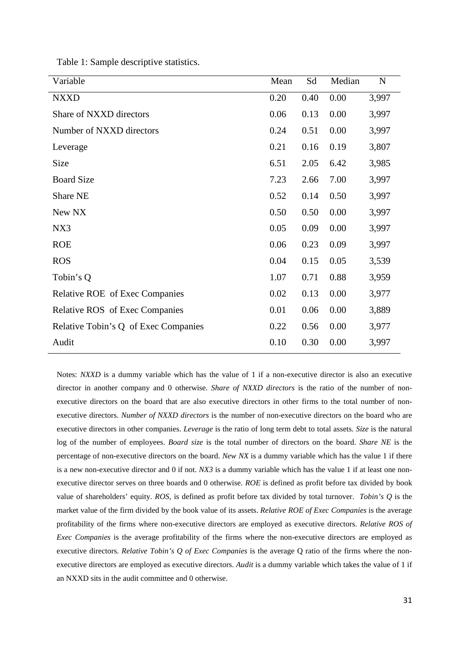| Variable                              | Mean | Sd   | Median | $\mathbf N$ |
|---------------------------------------|------|------|--------|-------------|
| <b>NXXD</b>                           | 0.20 | 0.40 | 0.00   | 3,997       |
| Share of NXXD directors               | 0.06 | 0.13 | 0.00   | 3,997       |
| Number of NXXD directors              | 0.24 | 0.51 | 0.00   | 3,997       |
| Leverage                              | 0.21 | 0.16 | 0.19   | 3,807       |
| <b>Size</b>                           | 6.51 | 2.05 | 6.42   | 3,985       |
| <b>Board Size</b>                     | 7.23 | 2.66 | 7.00   | 3,997       |
| Share NE                              | 0.52 | 0.14 | 0.50   | 3,997       |
| New NX                                | 0.50 | 0.50 | 0.00   | 3,997       |
| NX3                                   | 0.05 | 0.09 | 0.00   | 3,997       |
| <b>ROE</b>                            | 0.06 | 0.23 | 0.09   | 3,997       |
| <b>ROS</b>                            | 0.04 | 0.15 | 0.05   | 3,539       |
| Tobin's Q                             | 1.07 | 0.71 | 0.88   | 3,959       |
| <b>Relative ROE</b> of Exec Companies | 0.02 | 0.13 | 0.00   | 3,977       |
| <b>Relative ROS</b> of Exec Companies | 0.01 | 0.06 | 0.00   | 3,889       |
| Relative Tobin's Q of Exec Companies  | 0.22 | 0.56 | 0.00   | 3,977       |
| Audit                                 | 0.10 | 0.30 | 0.00   | 3,997       |

Table 1: Sample descriptive statistics.

Notes: *NXXD* is a dummy variable which has the value of 1 if a non-executive director is also an executive director in another company and 0 otherwise. *Share of NXXD directors* is the ratio of the number of nonexecutive directors on the board that are also executive directors in other firms to the total number of nonexecutive directors. *Number of NXXD directors* is the number of non-executive directors on the board who are executive directors in other companies. *Leverage* is the ratio of long term debt to total assets. *Size* is the natural log of the number of employees. *Board size* is the total number of directors on the board. *Share NE* is the percentage of non-executive directors on the board. *New NX* is a dummy variable which has the value 1 if there is a new non-executive director and 0 if not. *NX3* is a dummy variable which has the value 1 if at least one nonexecutive director serves on three boards and 0 otherwise. *ROE* is defined as profit before tax divided by book value of shareholders' equity. *ROS,* is defined as profit before tax divided by total turnover. *Tobin's Q* is the market value of the firm divided by the book value of its assets. *Relative ROE of Exec Companies* is the average profitability of the firms where non-executive directors are employed as executive directors. *Relative ROS of Exec Companies* is the average profitability of the firms where the non-executive directors are employed as executive directors. *Relative Tobin's Q of Exec Companies* is the average Q ratio of the firms where the nonexecutive directors are employed as executive directors. *Audit* is a dummy variable which takes the value of 1 if an NXXD sits in the audit committee and 0 otherwise.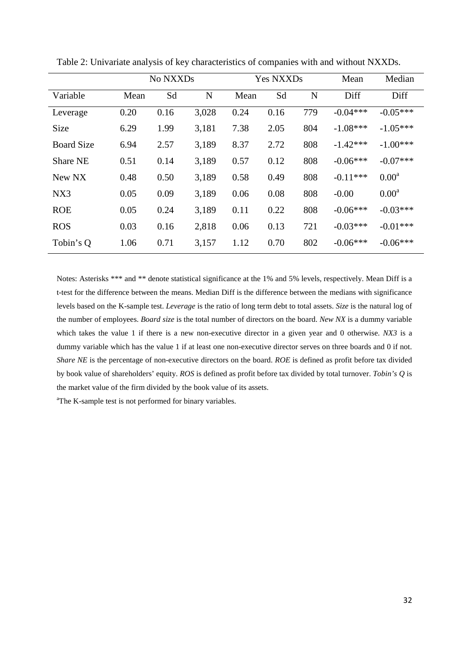|                   | No NXXDs |      | <b>Yes NXXDs</b> |      |      | Mean | Median     |                   |
|-------------------|----------|------|------------------|------|------|------|------------|-------------------|
| Variable          | Mean     | Sd   | N                | Mean | Sd   | N    | Diff       | Diff              |
| Leverage          | 0.20     | 0.16 | 3,028            | 0.24 | 0.16 | 779  | $-0.04***$ | $-0.05***$        |
| <b>Size</b>       | 6.29     | 1.99 | 3,181            | 7.38 | 2.05 | 804  | $-1.08***$ | $-1.05***$        |
| <b>Board Size</b> | 6.94     | 2.57 | 3.189            | 8.37 | 2.72 | 808  | $-1.42***$ | $-1.00***$        |
| <b>Share NE</b>   | 0.51     | 0.14 | 3,189            | 0.57 | 0.12 | 808  | $-0.06***$ | $-0.07***$        |
| New NX            | 0.48     | 0.50 | 3,189            | 0.58 | 0.49 | 808  | $-0.11***$ | 0.00 <sup>a</sup> |
| NX3               | 0.05     | 0.09 | 3,189            | 0.06 | 0.08 | 808  | $-0.00$    | 0.00 <sup>a</sup> |
| <b>ROE</b>        | 0.05     | 0.24 | 3.189            | 0.11 | 0.22 | 808  | $-0.06***$ | $-0.03***$        |
| <b>ROS</b>        | 0.03     | 0.16 | 2,818            | 0.06 | 0.13 | 721  | $-0.03***$ | $-0.01***$        |
| Tobin's Q         | 1.06     | 0.71 | 3,157            | 1.12 | 0.70 | 802  | $-0.06***$ | $-0.06***$        |

Table 2: Univariate analysis of key characteristics of companies with and without NXXDs.

Notes: Asterisks \*\*\* and \*\* denote statistical significance at the 1% and 5% levels, respectively. Mean Diff is a t-test for the difference between the means. Median Diff is the difference between the medians with significance levels based on the K-sample test. *Leverage* is the ratio of long term debt to total assets. *Size* is the natural log of the number of employees. *Board size* is the total number of directors on the board. *New NX* is a dummy variable which takes the value 1 if there is a new non-executive director in a given year and 0 otherwise. *NX3* is a dummy variable which has the value 1 if at least one non-executive director serves on three boards and 0 if not. *Share NE* is the percentage of non-executive directors on the board. *ROE* is defined as profit before tax divided by book value of shareholders' equity. *ROS* is defined as profit before tax divided by total turnover. *Tobin's Q* is the market value of the firm divided by the book value of its assets.

<sup>a</sup>The K-sample test is not performed for binary variables.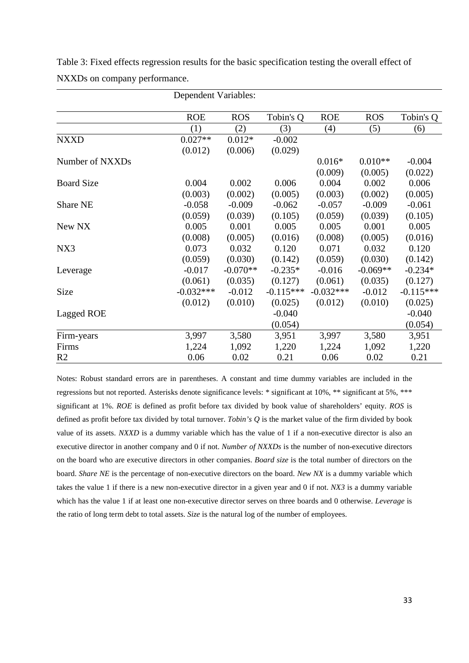|                   | Dependent Variables: |            |             |             |            |             |
|-------------------|----------------------|------------|-------------|-------------|------------|-------------|
|                   |                      |            |             |             |            |             |
|                   | <b>ROE</b>           | <b>ROS</b> | Tobin's Q   | <b>ROE</b>  | <b>ROS</b> | Tobin's Q   |
|                   | (1)                  | (2)        | (3)         | (4)         | (5)        | (6)         |
| <b>NXXD</b>       | $0.027**$            | $0.012*$   | $-0.002$    |             |            |             |
|                   | (0.012)              | (0.006)    | (0.029)     |             |            |             |
| Number of NXXDs   |                      |            |             | $0.016*$    | $0.010**$  | $-0.004$    |
|                   |                      |            |             | (0.009)     | (0.005)    | (0.022)     |
| <b>Board Size</b> | 0.004                | 0.002      | 0.006       | 0.004       | 0.002      | 0.006       |
|                   | (0.003)              | (0.002)    | (0.005)     | (0.003)     | (0.002)    | (0.005)     |
| Share NE          | $-0.058$             | $-0.009$   | $-0.062$    | $-0.057$    | $-0.009$   | $-0.061$    |
|                   | (0.059)              | (0.039)    | (0.105)     | (0.059)     | (0.039)    | (0.105)     |
| New NX            | 0.005                | 0.001      | 0.005       | 0.005       | 0.001      | 0.005       |
|                   | (0.008)              | (0.005)    | (0.016)     | (0.008)     | (0.005)    | (0.016)     |
| NX3               | 0.073                | 0.032      | 0.120       | 0.071       | 0.032      | 0.120       |
|                   | (0.059)              | (0.030)    | (0.142)     | (0.059)     | (0.030)    | (0.142)     |
| Leverage          | $-0.017$             | $-0.070**$ | $-0.235*$   | $-0.016$    | $-0.069**$ | $-0.234*$   |
|                   | (0.061)              | (0.035)    | (0.127)     | (0.061)     | (0.035)    | (0.127)     |
| Size              | $-0.032***$          | $-0.012$   | $-0.115***$ | $-0.032***$ | $-0.012$   | $-0.115***$ |
|                   | (0.012)              | (0.010)    | (0.025)     | (0.012)     | (0.010)    | (0.025)     |
| Lagged ROE        |                      |            | $-0.040$    |             |            | $-0.040$    |
|                   |                      |            | (0.054)     |             |            | (0.054)     |
| Firm-years        | 3,997                | 3,580      | 3,951       | 3,997       | 3,580      | 3,951       |
| Firms             | 1,224                | 1,092      | 1,220       | 1,224       | 1,092      | 1,220       |
| R <sub>2</sub>    | 0.06                 | 0.02       | 0.21        | 0.06        | 0.02       | 0.21        |

Table 3: Fixed effects regression results for the basic specification testing the overall effect of NXXDs on company performance.

Notes: Robust standard errors are in parentheses. A constant and time dummy variables are included in the regressions but not reported. Asterisks denote significance levels: \* significant at 10%, \*\* significant at 5%, \*\*\* significant at 1%. *ROE* is defined as profit before tax divided by book value of shareholders' equity. *ROS* is defined as profit before tax divided by total turnover. *Tobin's Q* is the market value of the firm divided by book value of its assets. *NXXD* is a dummy variable which has the value of 1 if a non-executive director is also an executive director in another company and 0 if not. *Number of NXXDs* is the number of non-executive directors on the board who are executive directors in other companies. *Board size* is the total number of directors on the board. *Share NE* is the percentage of non-executive directors on the board. *New NX* is a dummy variable which takes the value 1 if there is a new non-executive director in a given year and 0 if not. *NX3* is a dummy variable which has the value 1 if at least one non-executive director serves on three boards and 0 otherwise. *Leverage* is the ratio of long term debt to total assets. *Size* is the natural log of the number of employees.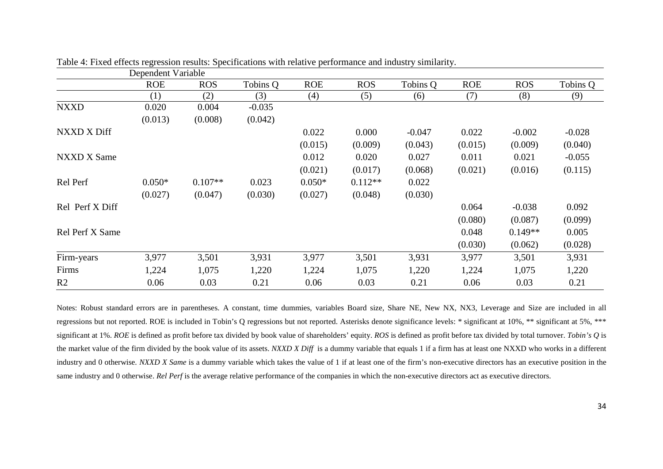|                    | Dependent Variable |            |          |            |            |          |            |            |          |
|--------------------|--------------------|------------|----------|------------|------------|----------|------------|------------|----------|
|                    | <b>ROE</b>         | <b>ROS</b> | Tobins Q | <b>ROE</b> | <b>ROS</b> | Tobins Q | <b>ROE</b> | <b>ROS</b> | Tobins Q |
|                    | (1)                | (2)        | (3)      | (4)        | (5)        | (6)      | (7)        | (8)        | (9)      |
| <b>NXXD</b>        | 0.020              | 0.004      | $-0.035$ |            |            |          |            |            |          |
|                    | (0.013)            | (0.008)    | (0.042)  |            |            |          |            |            |          |
| <b>NXXD X Diff</b> |                    |            |          | 0.022      | 0.000      | $-0.047$ | 0.022      | $-0.002$   | $-0.028$ |
|                    |                    |            |          | (0.015)    | (0.009)    | (0.043)  | (0.015)    | (0.009)    | (0.040)  |
| NXXD X Same        |                    |            |          | 0.012      | 0.020      | 0.027    | 0.011      | 0.021      | $-0.055$ |
|                    |                    |            |          | (0.021)    | (0.017)    | (0.068)  | (0.021)    | (0.016)    | (0.115)  |
| Rel Perf           | $0.050*$           | $0.107**$  | 0.023    | $0.050*$   | $0.112**$  | 0.022    |            |            |          |
|                    | (0.027)            | (0.047)    | (0.030)  | (0.027)    | (0.048)    | (0.030)  |            |            |          |
| Rel Perf X Diff    |                    |            |          |            |            |          | 0.064      | $-0.038$   | 0.092    |
|                    |                    |            |          |            |            |          | (0.080)    | (0.087)    | (0.099)  |
| Rel Perf X Same    |                    |            |          |            |            |          | 0.048      | $0.149**$  | 0.005    |
|                    |                    |            |          |            |            |          | (0.030)    | (0.062)    | (0.028)  |
| Firm-years         | 3,977              | 3,501      | 3,931    | 3,977      | 3,501      | 3,931    | 3,977      | 3,501      | 3,931    |
| Firms              | 1,224              | 1,075      | 1,220    | 1,224      | 1,075      | 1,220    | 1,224      | 1,075      | 1,220    |
| R <sub>2</sub>     | 0.06               | 0.03       | 0.21     | 0.06       | 0.03       | 0.21     | 0.06       | 0.03       | 0.21     |

Table 4: Fixed effects regression results: Specifications with relative performance and industry similarity.

Notes: Robust standard errors are in parentheses. A constant, time dummies, variables Board size, Share NE, New NX, NX3, Leverage and Size are included in all regressions but not reported. ROE is included in Tobin's Q regressions but not reported. Asterisks denote significance levels: \* significant at 10%, \*\* significant at 5%, \*\*\* significant at 1%. *ROE* is defined as profit before tax divided by book value of shareholders' equity. *ROS* is defined as profit before tax divided by total turnover. *Tobin's Q* is the market value of the firm divided by the book value of its assets. *NXXD X Diff* is a dummy variable that equals 1 if a firm has at least one NXXD who works in a different industry and 0 otherwise. *NXXD X Same* is a dummy variable which takes the value of 1 if at least one of the firm's non-executive directors has an executive position in the same industry and 0 otherwise. *Rel Perf* is the average relative performance of the companies in which the non-executive directors act as executive directors.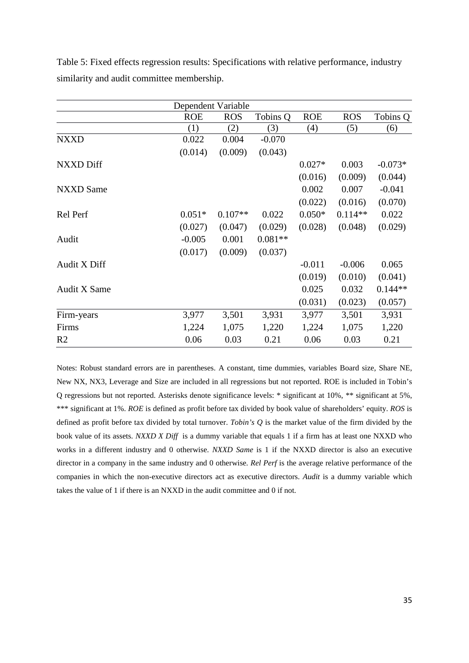| Dependent Variable  |            |            |           |            |            |           |  |
|---------------------|------------|------------|-----------|------------|------------|-----------|--|
|                     | <b>ROE</b> | <b>ROS</b> | Tobins Q  | <b>ROE</b> | <b>ROS</b> | Tobins Q  |  |
|                     | (1)        | (2)        | (3)       | (4)        | (5)        | (6)       |  |
| <b>NXXD</b>         | 0.022      | 0.004      | $-0.070$  |            |            |           |  |
|                     | (0.014)    | (0.009)    | (0.043)   |            |            |           |  |
| <b>NXXD Diff</b>    |            |            |           | $0.027*$   | 0.003      | $-0.073*$ |  |
|                     |            |            |           | (0.016)    | (0.009)    | (0.044)   |  |
| <b>NXXD</b> Same    |            |            |           | 0.002      | 0.007      | $-0.041$  |  |
|                     |            |            |           | (0.022)    | (0.016)    | (0.070)   |  |
| Rel Perf            | $0.051*$   | $0.107**$  | 0.022     | $0.050*$   | $0.114**$  | 0.022     |  |
|                     | (0.027)    | (0.047)    | (0.029)   | (0.028)    | (0.048)    | (0.029)   |  |
| Audit               | $-0.005$   | 0.001      | $0.081**$ |            |            |           |  |
|                     | (0.017)    | (0.009)    | (0.037)   |            |            |           |  |
| Audit X Diff        |            |            |           | $-0.011$   | $-0.006$   | 0.065     |  |
|                     |            |            |           | (0.019)    | (0.010)    | (0.041)   |  |
| <b>Audit X Same</b> |            |            |           | 0.025      | 0.032      | $0.144**$ |  |
|                     |            |            |           | (0.031)    | (0.023)    | (0.057)   |  |
| Firm-years          | 3,977      | 3,501      | 3,931     | 3,977      | 3,501      | 3,931     |  |
| Firms               | 1,224      | 1,075      | 1,220     | 1,224      | 1,075      | 1,220     |  |
| R <sub>2</sub>      | 0.06       | 0.03       | 0.21      | 0.06       | 0.03       | 0.21      |  |

Table 5: Fixed effects regression results: Specifications with relative performance, industry similarity and audit committee membership.

Notes: Robust standard errors are in parentheses. A constant, time dummies, variables Board size, Share NE, New NX, NX3, Leverage and Size are included in all regressions but not reported. ROE is included in Tobin's Q regressions but not reported. Asterisks denote significance levels: \* significant at 10%, \*\* significant at 5%, \*\*\* significant at 1%. *ROE* is defined as profit before tax divided by book value of shareholders' equity. *ROS* is defined as profit before tax divided by total turnover. *Tobin's Q* is the market value of the firm divided by the book value of its assets. *NXXD X Diff* is a dummy variable that equals 1 if a firm has at least one NXXD who works in a different industry and 0 otherwise. *NXXD Same* is 1 if the NXXD director is also an executive director in a company in the same industry and 0 otherwise*. Rel Perf* is the average relative performance of the companies in which the non-executive directors act as executive directors. *Audit* is a dummy variable which takes the value of 1 if there is an NXXD in the audit committee and 0 if not.